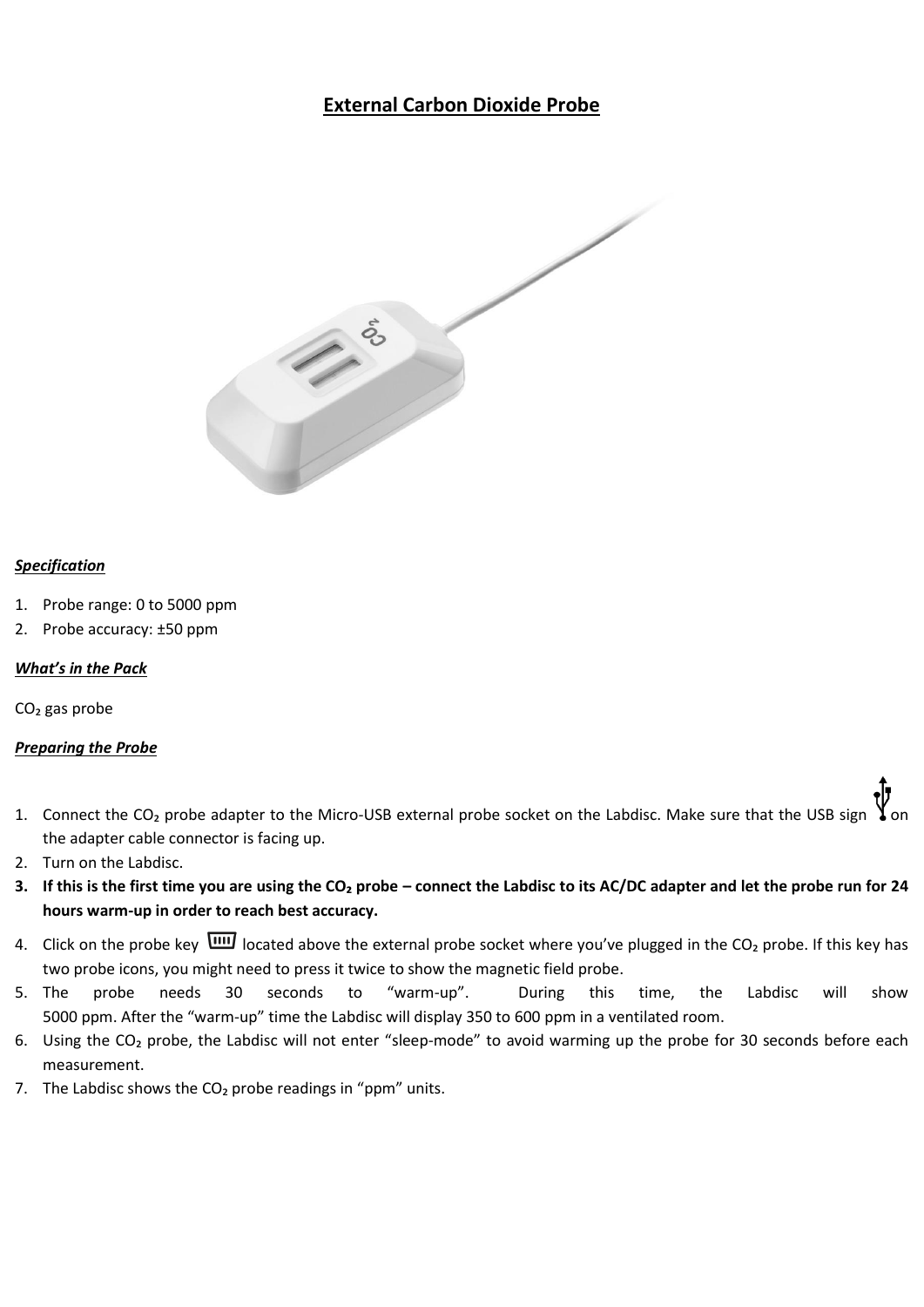# **External Carbon Dioxide Probe**



#### *Specification*

- 1. Probe range: 0 to 5000 ppm
- 2. Probe accuracy: ±50 ppm

### *What's in the Pack*

 $CO<sub>2</sub>$  gas probe

### *Preparing the Probe*

- 1. Connect the CO<sub>2</sub> probe adapter to the Micro-USB external probe socket on the Labdisc. Make sure that the USB sign the adapter cable connector is facing up.
- 2. Turn on the Labdisc.
- **3. If this is the first time you are using the CO₂ probe – connect the Labdisc to its AC/DC adapter and let the probe run for 24 hours warm-up in order to reach best accuracy.**
- 4. Click on the probe key  $\overline{u u}$  located above the external probe socket where you've plugged in the CO<sub>2</sub> probe. If this key has two probe icons, you might need to press it twice to show the magnetic field probe.
- 5. The probe needs 30 seconds to "warm-up". During this time, the Labdisc will show 5000 ppm. After the "warm-up" time the Labdisc will display 350 to 600 ppm in a ventilated room.
- 6. Using the CO₂ probe, the Labdisc will not enter "sleep-mode" to avoid warming up the probe for 30 seconds before each measurement.
- 7. The Labdisc shows the  $CO<sub>2</sub>$  probe readings in "ppm" units.